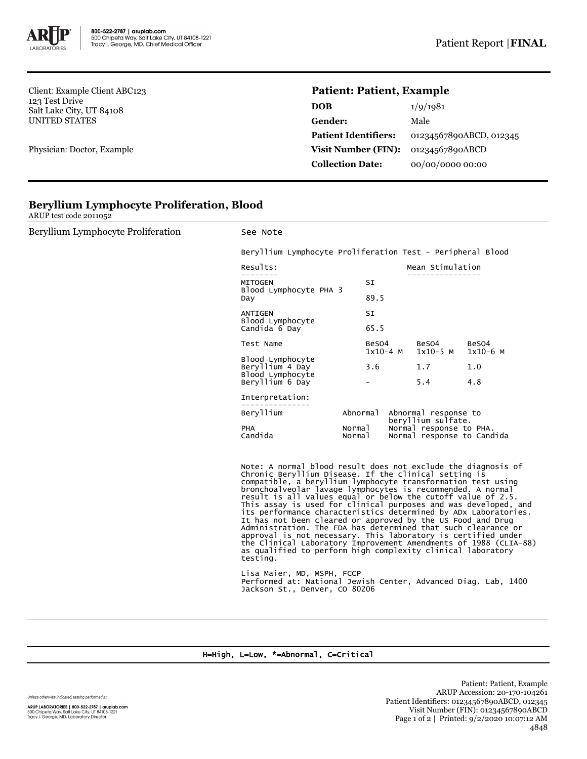

Client: Example Client ABC123 123 Test Drive Salt Lake City, UT 84108 UNITED STATES

Physician: Doctor, Example

## **Patient: Patient, Example**

| <b>DOB</b>                  | 1/9/1981                |
|-----------------------------|-------------------------|
| Gender:                     | Male                    |
| <b>Patient Identifiers:</b> | 01234567890ABCD, 012345 |
| Visit Number (FIN):         | 01234567890ABCD         |
| <b>Collection Date:</b>     | 00/00/0000 00:00        |

|  |  | <b>Beryllium Lymphocyte Proliferation, Blood</b> |  |
|--|--|--------------------------------------------------|--|
|--|--|--------------------------------------------------|--|

ARUP test code 2011052

| Beryllium Lymphocyte Proliferation | See Note                                                   |                  |                     |                                            |                                                       |                     |  |
|------------------------------------|------------------------------------------------------------|------------------|---------------------|--------------------------------------------|-------------------------------------------------------|---------------------|--|
|                                    | Beryllium Lymphocyte Proliferation Test - Peripheral Blood |                  |                     |                                            |                                                       |                     |  |
|                                    | Results:                                                   |                  |                     | Mean Stimulation                           |                                                       |                     |  |
|                                    | <b>MITOGEN</b>                                             |                  |                     | SI                                         |                                                       |                     |  |
|                                    | Blood Lymphocyte PHA 3<br>Day                              | 89.5             |                     |                                            |                                                       |                     |  |
|                                    | ANTIGEN<br>Blood Lymphocyte<br>Candida 6 Day               |                  |                     |                                            |                                                       |                     |  |
|                                    |                                                            |                  |                     | 65.5                                       |                                                       |                     |  |
|                                    | Test Name                                                  |                  | BeSO4<br>$1x10-4$ M |                                            | BeSO4<br>$1x10-5$ M                                   | BeSO4<br>$1x10-6$ M |  |
|                                    | Blood Lymphocyte<br>Beryllium 4 Day<br>Blood Lymphocyte    |                  | 3.6                 |                                            | 1.7                                                   | 1.0                 |  |
|                                    | Beryllium 6 Day                                            |                  |                     |                                            | 5.4                                                   | 4.8                 |  |
|                                    | Interpretation:                                            |                  |                     |                                            |                                                       |                     |  |
|                                    | Beryllium                                                  | Abnormal         |                     | Abnormal response to<br>beryllium sulfate. |                                                       |                     |  |
|                                    | PHA<br>Candida                                             | Normal<br>Normal |                     |                                            | Normal response to PHA.<br>Normal response to Candida |                     |  |

Note: A normal blood result does not exclude the diagnosis of Chronic Beryllium Disease. If the clinical setting is compatible, a beryllium lymphocyte transformation test using bronchoalveolar lavage lymphocytes is recommended. A normal result is all values equal or below the cutoff value of 2.5. This assay is used for clinical purposes and was developed, and its performance characteristics determined by ADx Laboratories. It has not been cleared or approved by the US Food and Drug Administration. The FDA has determined that such clearance or approval is not necessary. This laboratory is certified under the Clinical Laboratory Improvement Amendments of 1988 (CLIA-88) as qualified to perform high complexity clinical laboratory testing.

Lisa Maier, MD, MSPH, FCCP Performed at: National Jewish Center, Advanced Diag. Lab, 1400 Jackson St., Denver, CO 80206

## H=High, L=Low, \*=Abnormal, C=Critical

Unless otherwise indicated, testing performed at:

**ARUP LABORATORIES | 800-522-2787 | aruplab.com**<br>500 Chipeta Way, Salt Lake City, UT 84108-1221<br>Tracy I. George, MD, Laboratory Director

Patient: Patient, Example ARUP Accession: 20-170-104261 Patient Identifiers: 01234567890ABCD, 012345 Visit Number (FIN): 01234567890ABCD Page 1 of 2 | Printed: 9/2/2020 10:07:12 AM 4848